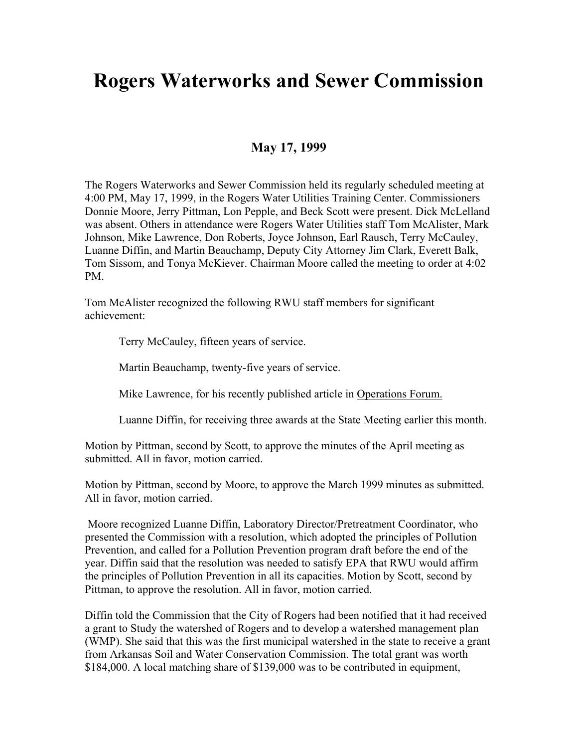## **Rogers Waterworks and Sewer Commission**

## **May 17, 1999**

The Rogers Waterworks and Sewer Commission held its regularly scheduled meeting at 4:00 PM, May 17, 1999, in the Rogers Water Utilities Training Center. Commissioners Donnie Moore, Jerry Pittman, Lon Pepple, and Beck Scott were present. Dick McLelland was absent. Others in attendance were Rogers Water Utilities staff Tom McAlister, Mark Johnson, Mike Lawrence, Don Roberts, Joyce Johnson, Earl Rausch, Terry McCauley, Luanne Diffin, and Martin Beauchamp, Deputy City Attorney Jim Clark, Everett Balk, Tom Sissom, and Tonya McKiever. Chairman Moore called the meeting to order at 4:02 PM.

Tom McAlister recognized the following RWU staff members for significant achievement:

Terry McCauley, fifteen years of service.

Martin Beauchamp, twenty-five years of service.

Mike Lawrence, for his recently published article in Operations Forum.

Luanne Diffin, for receiving three awards at the State Meeting earlier this month.

Motion by Pittman, second by Scott, to approve the minutes of the April meeting as submitted. All in favor, motion carried.

Motion by Pittman, second by Moore, to approve the March 1999 minutes as submitted. All in favor, motion carried.

 Moore recognized Luanne Diffin, Laboratory Director/Pretreatment Coordinator, who presented the Commission with a resolution, which adopted the principles of Pollution Prevention, and called for a Pollution Prevention program draft before the end of the year. Diffin said that the resolution was needed to satisfy EPA that RWU would affirm the principles of Pollution Prevention in all its capacities. Motion by Scott, second by Pittman, to approve the resolution. All in favor, motion carried.

Diffin told the Commission that the City of Rogers had been notified that it had received a grant to Study the watershed of Rogers and to develop a watershed management plan (WMP). She said that this was the first municipal watershed in the state to receive a grant from Arkansas Soil and Water Conservation Commission. The total grant was worth \$184,000. A local matching share of \$139,000 was to be contributed in equipment,